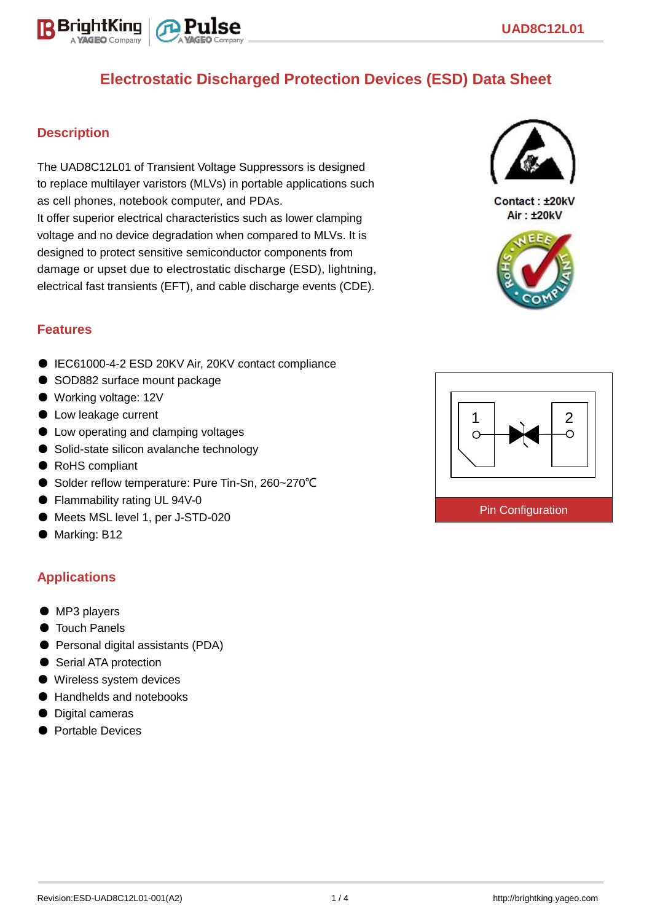

## **Description**

The UAD8C12L01 of Transient Voltage Suppressors is designed to replace multilayer varistors (MLVs) in portable applications such as cell phones, notebook computer, and PDAs. It offer superior electrical characteristics such as lower clamping voltage and no device degradation when compared to MLVs. It is designed to protect sensitive semiconductor components from damage or upset due to electrostatic discharge (ESD), lightning, electrical fast transients (EFT), and cable discharge events (CDE).



Contact: ±20kV Air: ±20kV



# **Features**

- IEC61000-4-2 ESD 20KV Air, 20KV contact compliance
- SOD882 surface mount package
- Working voltage: 12V
- Low leakage current
- Low operating and clamping voltages
- Solid-state silicon avalanche technology
- RoHS compliant
- Solder reflow temperature: Pure Tin-Sn, 260~270°C
- Flammability rating UL 94V-0
- Meets MSL level 1, per J-STD-020
- Marking: B12

# **Applications**

- MP3 players
- Touch Panels
- Personal digital assistants (PDA)
- Serial ATA protection
- Wireless system devices
- Handhelds and notebooks
- Digital cameras
- Portable Devices

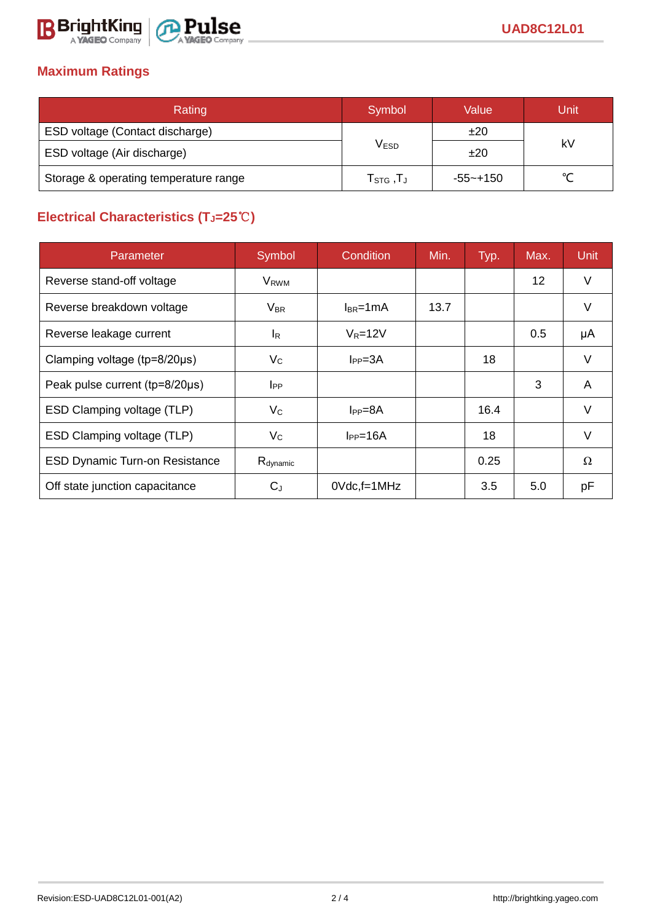

# **Maximum Ratings**

| Rating                                | Symbol                                           | Value        | Unit   |  |
|---------------------------------------|--------------------------------------------------|--------------|--------|--|
| ESD voltage (Contact discharge)       |                                                  | ±20          |        |  |
| ESD voltage (Air discharge)           | V <sub>ESD</sub>                                 | ±20          | kV     |  |
| Storage & operating temperature range | ${\sf T}_{\mathsf{STG}}\,, {\sf T}_{\mathsf{J}}$ | $-55 - +150$ | $\sim$ |  |

# **Electrical Characteristics (TJ=25**℃**)**

| Parameter                             | Symbol                  | Condition       | Min. | Typ. | Max.              | <b>Unit</b> |
|---------------------------------------|-------------------------|-----------------|------|------|-------------------|-------------|
| Reverse stand-off voltage             | <b>V</b> <sub>RWM</sub> |                 |      |      | $12 \overline{ }$ | V           |
| Reverse breakdown voltage             | $V_{BR}$                | $I_{BR}$ =1mA   | 13.7 |      |                   | V           |
| Reverse leakage current               | l <sub>R</sub>          | $V_R = 12V$     |      |      | 0.5               | μA          |
| Clamping voltage (tp=8/20µs)          | $V_C$                   | $I_{PP} = 3A$   |      | 18   |                   | V           |
| Peak pulse current (tp=8/20µs)        | $_{\rm lpp}$            |                 |      |      | 3                 | A           |
| ESD Clamping voltage (TLP)            | $V_{C}$                 | $I_{PP}=8A$     |      | 16.4 |                   | $\vee$      |
| ESD Clamping voltage (TLP)            | $V_{\rm C}$             | $I_{PP}=16A$    |      | 18   |                   | V           |
| <b>ESD Dynamic Turn-on Resistance</b> | R <sub>dynamic</sub>    |                 |      | 0.25 |                   | Ω           |
| Off state junction capacitance        | $C_{J}$                 | $0$ Vdc, f=1MHz |      | 3.5  | 5.0               | рF          |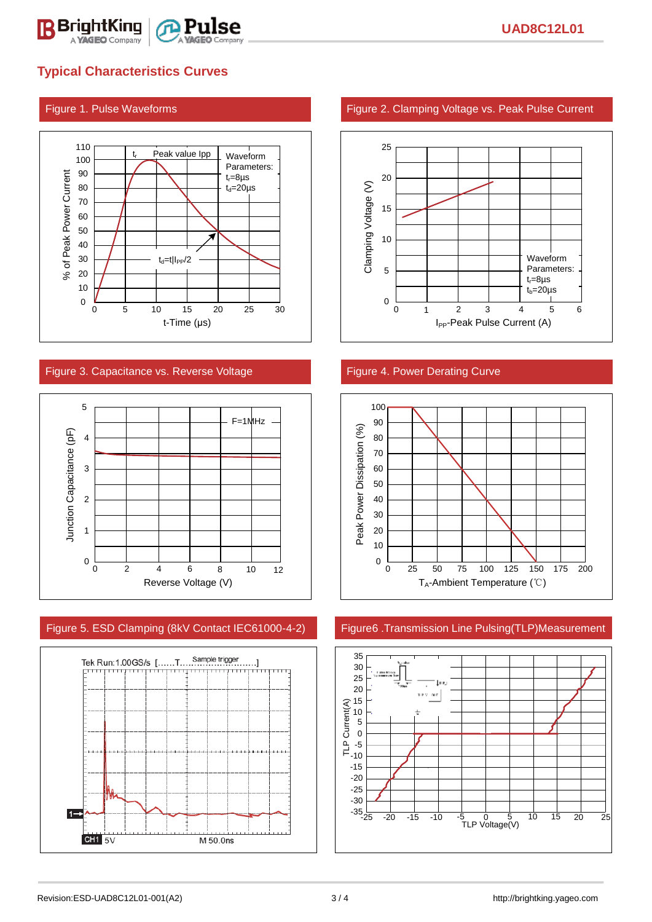

# **Typical Characteristics Curves**



### Figure 3. Capacitance vs. Reverse Voltage Figure 4. Power Derating Curve



### Figure 5. ESD Clamping (8kV Contact IEC61000-4-2) Figure6 .Transmission Line Pulsing(TLP)Measurement



### Figure 1. Pulse Waveforms Figure 2. Clamping Voltage vs. Peak Pulse Current